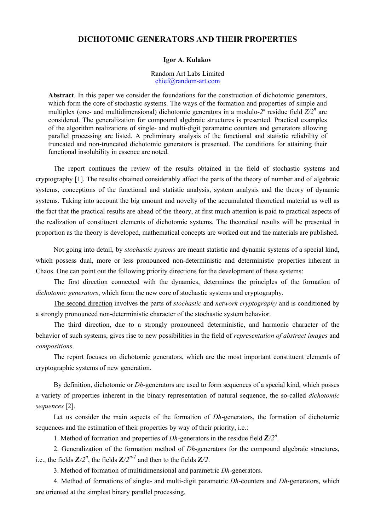# **DICHOTOMIC GENERATORS AND THEIR PROPERTIES**

#### **Igor A**. **Kulakov**

#### Random Art Labs Limited chief@random-art.com

**Abstract**. In this paper we consider the foundations for the construction of dichotomic generators, which form the core of stochastic systems. The ways of the formation and properties of simple and multiplex (one- and multidimensional) dichotomic generators in a modulo- $2^n$  residue field  $Z/2^n$  are considered. The generalization for compound algebraic structures is presented. Practical examples of the algorithm realizations of single- and multi-digit parametric counters and generators allowing parallel processing are listed. A preliminary analysis of the functional and statistic reliability of truncated and non-truncated dichotomic generators is presented. The conditions for attaining their functional insolubility in essence are noted.

The report continues the review of the results obtained in the field of stochastic systems and cryptography [1]. The results obtained considerably affect the parts of the theory of number and of algebraic systems, conceptions of the functional and statistic analysis, system analysis and the theory of dynamic systems. Taking into account the big amount and novelty of the accumulated theoretical material as well as the fact that the practical results are ahead of the theory, at first much attention is paid to practical aspects of the realization of constituent elements of dichotomic systems. The theoretical results will be presented in proportion as the theory is developed, mathematical concepts are worked out and the materials are published.

Not going into detail, by *stochastic systems* are meant statistic and dynamic systems of a special kind, which possess dual, more or less pronounced non-deterministic and deterministic properties inherent in Chaos. One can point out the following priority directions for the development of these systems:

The first direction connected with the dynamics, determines the principles of the formation of *dichotomic generators*, which form the new core of stochastic systems and cryptography.

The second direction involves the parts of *stochastic* and *network cryptography* and is conditioned by a strongly pronounced non-deterministic character of the stochastic system behavior.

The third direction, due to a strongly pronounced deterministic, and harmonic character of the behavior of such systems, gives rise to new possibilities in the field of *representation of abstract images* and *compositions*.

The report focuses on dichotomic generators, which are the most important constituent elements of cryptographic systems of new generation.

By definition, dichotomic or *Dh*-generators are used to form sequences of a special kind, which posses a variety of properties inherent in the binary representation of natural sequence, the so-called *dichotomic sequences* [2].

Let us consider the main aspects of the formation of *Dh*-generators, the formation of dichotomic sequences and the estimation of their properties by way of their priority, i.e.:

1. Method of formation and properties of *Dh*-generators in the residue field  $\mathbb{Z}/2^n$ .

2. Generalization of the formation method of *Dh*-generators for the compound algebraic structures, i.e., the fields  $\mathbb{Z}/2^n$ , the fields  $\mathbb{Z}/2^{n-1}$  and then to the fields  $\mathbb{Z}/2$ .

3. Method of formation of multidimensional and parametric *Dh*-generators.

4. Method of formations of single- and multi-digit parametric *Dh*-counters and *Dh*-generators, which are oriented at the simplest binary parallel processing.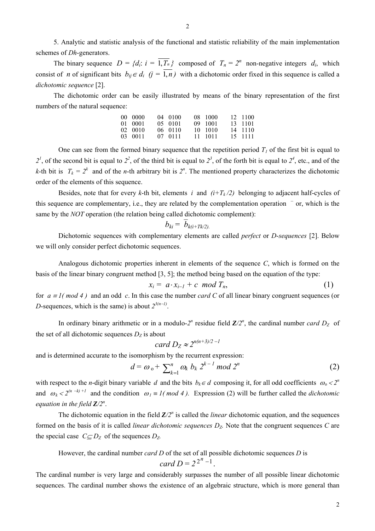5. Analytic and statistic analysis of the functional and statistic reliability of the main implementation schemes of *Dh*-generators.

The binary sequence  $D = \{d_i: i = \overline{1, T_n}\}\)$  composed of  $T_n = 2^n$  non-negative integers  $d_i$ , which consist of *n* of significant bits  $b_{ij} \in d_i$  ( $j = \overline{1, n}$ ) with a dichotomic order fixed in this sequence is called a *dichotomic sequence* [2].

The dichotomic order can be easily illustrated by means of the binary representation of the first numbers of the natural sequence:

| 00 0000 | 04 0100 | 08 1000 | 12 1100 |
|---------|---------|---------|---------|
| 01 0001 | 05 0101 | 09 1001 | 13 1101 |
| 02 0010 | 06 0110 | 10 1010 | 14 1110 |
| 03 0011 | 07 0111 | 11 1011 | 15 1111 |

One can see from the formed binary sequence that the repetition period  $T<sub>l</sub>$  of the first bit is equal to  $2<sup>1</sup>$ , of the second bit is equal to  $2<sup>2</sup>$ , of the third bit is equal to  $2<sup>3</sup>$ , of the forth bit is equal to  $2<sup>4</sup>$ , etc., and of the *k*-th bit is  $T_k = 2^k$  and of the *n*-th arbitrary bit is  $2^n$ . The mentioned property characterizes the dichotomic order of the elements of this sequence.

Besides, note that for every *k*-th bit, elements *i* and  $(i+T_k/2)$  belonging to adjacent half-cycles of this sequence are complementary, i.e., they are related by the complementation operation  $\overline{\phantom{a}}$  or, which is the same by the *NOT* operation (the relation being called dichotomic complement):

$$
b_{ki} = b_{k(i+Tk/2)}
$$

Dichotomic sequences with complementary elements are called *perfect* or *D*-*sequences* [2]. Below we will only consider perfect dichotomic sequences.

Analogous dichotomic properties inherent in elements of the sequence *C*, which is formed on the basis of the linear binary congruent method [3, 5]; the method being based on the equation of the type:

$$
x_i = a \cdot x_{i-1} + c \mod T_n, \tag{1}
$$

for *a* <sup>≡</sup> *1( mod 4 )* and an odd *c*. In this case the number *card C* of all linear binary congruent sequences (or *D*-sequences, which is the same) is about  $2^{3(n-1)}$ .

In ordinary binary arithmetic or in a modulo-2<sup>*n*</sup> residue field  $Z/2^n$ , the cardinal number *card D<sub>Z</sub>* of the set of all dichotomic sequences  $D_Z$  is about

card 
$$
D_Z \approx 2^{n(n+3)/2 - 1}
$$

and is determined accurate to the isomorphism by the recurrent expression:

$$
d = \omega_0 + \sum_{k=1}^n \omega_k b_k 2^{k-1} \mod 2^n
$$
 (2)

with respect to the *n*-digit binary variable *d* and the bits  $b_k \in d$  composing it, for all odd coefficients  $\omega_0 < 2^n$ and  $\omega_k < 2^{(n-k)+1}$  and the condition  $\omega_l \equiv l \pmod{4}$ . Expression (2) will be further called the *dichotomic equation in the field Z/2<sup>n</sup>* .

The dichotomic equation in the field  $Z/2^n$  is called the *linear* dichotomic equation, and the sequences formed on the basis of it is called *linear dichotomic sequences*  $D_z$ . Note that the congruent sequences C are the special case  $C \subseteq D_Z$  of the sequences  $D_Z$ .

However, the cardinal number *card D* of the set of all possible dichotomic sequences *D* is  $card D = 2^{2^n - 1}$ 

The cardinal number is very large and considerably surpasses the number of all possible linear dichotomic sequences. The cardinal number shows the existence of an algebraic structure, which is more general than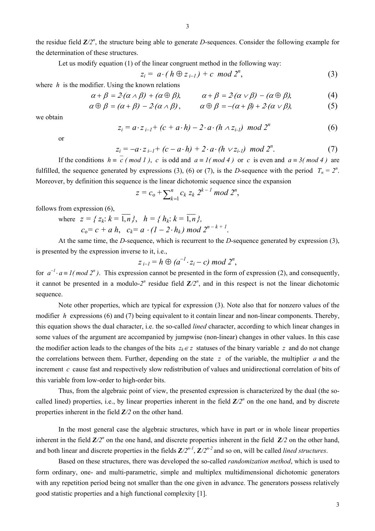the residue field  $\mathbb{Z}/2^n$ , the structure being able to generate *D*-sequences. Consider the following example for the determination of these structures.

Let us modify equation (1) of the linear congruent method in the following way:

$$
z_i = a \cdot (h \oplus z_{i-1}) + c \mod 2^n, \tag{3}
$$

where  $h$  is the modifier. Using the known relations

$$
\alpha + \beta = 2 \cdot (\alpha \wedge \beta) + (\alpha \oplus \beta), \qquad \alpha + \beta = 2 \cdot (\alpha \vee \beta) - (\alpha \oplus \beta), \tag{4}
$$

$$
\alpha \oplus \beta = (\alpha + \beta) - 2(\alpha \wedge \beta), \qquad \alpha \oplus \beta = -(\alpha + \beta) + 2(\alpha \vee \beta), \tag{5}
$$

we obtain

$$
z_i = a \cdot z_{i-1} + (c + a \cdot h) - 2 \cdot a \cdot (h \wedge z_{i-1}) \mod 2^n
$$
 (6)

or

$$
z_{i} = -a \cdot z_{i-1} + (c - a \cdot h) + 2 \cdot a \cdot (h \vee z_{i-1}) \mod 2^{n}.
$$
 (7)

If the conditions  $h \equiv \overline{c}$  (mod 1), c is odd and  $a \equiv 1 \pmod{4}$  or c is even and  $a \equiv 3 \pmod{4}$  are fulfilled, the sequence generated by expressions (3), (6) or (7), is the *D*-sequence with the period  $T_n = 2^n$ . Moreover, by definition this sequence is the linear dichotomic sequence since the expansion

$$
z = c_0 + \sum_{k=1}^n c_k z_k 2^{k-1} \mod 2^n,
$$

follows from expression (6),

where 
$$
z = \{ z_k : k = \overline{1,n} \}, h = \{ h_k : k = \overline{1,n} \},
$$
  
 $c_0 = c + a h, c_k = a \cdot (1 - 2 \cdot h_k) \text{ mod } 2^{n-k+1}.$ 

At the same time, the *D*-sequence, which is recurrent to the *D*-sequence generated by expression (3), is presented by the expression inverse to it, i.e.,

$$
z_{i-l} = h \oplus (a^{-1} \cdot z_i - c) \bmod 2^n,
$$

for  $a^{-1} \cdot a \equiv l \pmod{2^n}$ . This expression cannot be presented in the form of expression (2), and consequently, it cannot be presented in a modulo- $2^n$  residue field  $\mathbb{Z}/2^n$ , and in this respect is not the linear dichotomic sequence.

Note other properties, which are typical for expression (3). Note also that for nonzero values of the modifier *h* expressions (6) and (7) being equivalent to it contain linear and non-linear components. Thereby, this equation shows the dual character, i.e. the so-called *lined* character, according to which linear changes in some values of the argument are accompanied by jumpwise (non-linear) changes in other values. In this case the modifier action leads to the changes of the bits  $z_k \in z$  statuses of the binary variable z and do not change the correlations between them. Further, depending on the state *z* of the variable, the multiplier *a* and the increment *c* cause fast and respectively slow redistribution of values and unidirectional correlation of bits of this variable from low-order to high-order bits.

Thus, from the algebraic point of view, the presented expression is characterized by the dual (the socalled lined) properties, i.e., by linear properties inherent in the field  $\mathbb{Z}/2^n$  on the one hand, and by discrete properties inherent in the field *Z/2* on the other hand.

In the most general case the algebraic structures, which have in part or in whole linear properties inherent in the field  $\mathbb{Z}/2^n$  $\mathbb{Z}/2^n$  $\mathbb{Z}/2^n$  on the one hand, and discrete properties inherent in the field  $\mathbb{Z}/2$  on the other hand, and both linear and discrete properties in the fields  $\mathbb{Z}/2^{n-1}$ ,  $\mathbb{Z}/2^{n-2}$  and so on, will be called *lined structures*.

Based on these structures, there was developed the so-called *randomization method*, which is used to form ordinary, one- and multi-parametric, simple and multiplex multidimensional dichotomic generators with any repetition period being not smaller than the one given in advance. The generators possess relatively good statistic properties and a high functional complexity [1].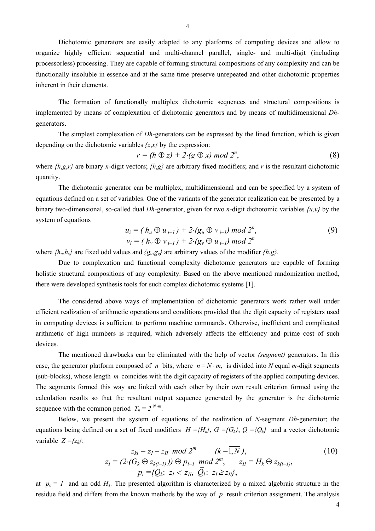Dichotomic generators are easily adapted to any platforms of computing devices and allow to organize highly efficient sequential and multi-channel parallel, single- and multi-digit (including processorless) processing. They are capable of forming structural compositions of any complexity and can be functionally insoluble in essence and at the same time preserve unrepeated and other dichotomic properties inherent in their elements.

The formation of functionally multiplex dichotomic sequences and structural compositions is implemented by means of complexation of dichotomic generators and by means of multidimensional *Dh*generators.

The simplest complexation of *Dh*-generators can be expressed by the lined function, which is given depending on the dichotomic variables  $\{z, x\}$  by the expression:

$$
r = (h \oplus z) + 2 \cdot (g \oplus x) \bmod 2^n, \tag{8}
$$

where  $\{h, g, r\}$  are binary *n*-digit vectors;  $\{h, g\}$  are arbitrary fixed modifiers; and *r* is the resultant dichotomic quantity.

The dichotomic generator can be multiplex, multidimensional and can be specified by a system of equations defined on a set of variables. One of the variants of the generator realization can be presented by a binary two-dimensional, so-called dual *Dh*-generator, given for two *n*-digit dichotomic variables *{u,v}* by the system of equations

$$
u_i = (h_u \oplus u_{i-1}) + 2 \cdot (g_u \oplus v_{i-1}) \mod 2^n, \n v_i = (h_v \oplus v_{i-1}) + 2 \cdot (g_v \oplus u_{i-1}) \mod 2^n
$$
\n(9)

where  $\{h_u, h_v\}$  are fixed odd values and  $\{g_u, g_v\}$  are arbitrary values of the modifier  $\{h, g\}$ .

Due to complexation and functional complexity dichotomic generators are capable of forming holistic structural compositions of any complexity. Based on the above mentioned randomization method, there were developed synthesis tools for such complex dichotomic systems [1].

The considered above ways of implementation of dichotomic generators work rather well under efficient realization of arithmetic operations and conditions provided that the digit capacity of registers used in computing devices is sufficient to perform machine commands. Otherwise, inefficient and complicated arithmetic of high numbers is required, which adversely affects the efficiency and prime cost of such devices.

The mentioned drawbacks can be eliminated with the help of vector *(segment)* generators. In this case, the generator platform composed of *n* bits, where  $n = N \cdot m$ , is divided into *N* equal *m*-digit segments (sub-blocks), whose length *m* coincides with the digit capacity of registers of the applied computing devices. The segments formed this way are linked with each other by their own result criterion formed using the calculation results so that the resultant output sequence generated by the generator is the dichotomic sequence with the common period  $T_n = 2^{N \cdot m}$ .

Below, we present the system of equations of the realization of *N*-segment *Dh*-generator; the equations being defined on a set of fixed modifiers  $H = \{H_k\}$ ,  $G = \{G_k\}$ ,  $Q = \{O_k\}$  and a vector dichotomic variable  $Z = \{z_k\}$ :

$$
z_{ki} = z_l - z_{II} \mod 2^m \qquad (k = \overline{1, N}),
$$
  
\n
$$
z_l = (2 \cdot (G_k \oplus z_{k(i-l)})) \oplus p_{i-l} \mod 2^m, \qquad z_{II} = H_k \oplus z_{k(i-l)},
$$
  
\n
$$
p_i = \{Q_k: z_l < z_{II}, \ \overline{Q_k}: z_l \ge z_{II}\},
$$
\n
$$
(10)
$$

at  $p_0 = 1$  and an odd  $H_1$ . The presented algorithm is characterized by a mixed algebraic structure in the residue field and differs from the known methods by the way of *p* result criterion assignment. The analysis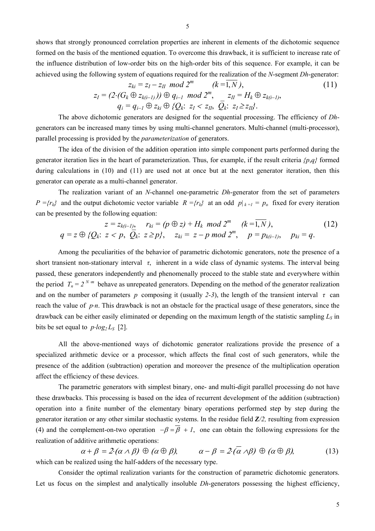shows that strongly pronounced correlation properties are inherent in elements of the dichotomic sequence formed on the basis of the mentioned equation. To overcome this drawback, it is sufficient to increase rate of the influence distribution of low-order bits on the high-order bits of this sequence. For example, it can be achieved using the following system of equations required for the realization of the *N*-segment *Dh*-generator:

$$
z_{ki} = z_l - z_{II} \mod 2^m \qquad (k = \overline{1, N}),
$$
  
\n
$$
z_l = (2 \cdot (G_k \oplus z_{k(i-l)})) \oplus q_{i-l} \mod 2^m, \qquad z_{II} = H_k \oplus z_{k(i-l)},
$$
  
\n
$$
q_i = q_{i-l} \oplus z_{ki} \oplus \{Q_k: z_l < z_{II}, \ \overline{Q_k}: z_l \ge z_{II}\}.
$$
\n
$$
(11)
$$

The above dichotomic generators are designed for the sequential processing. The efficiency of *Dh*generators can be increased many times by using multi-channel generators. Multi-channel (multi-processor), parallel processing is provided by the *parameterization* of generators.

The idea of the division of the addition operation into simple component parts performed during the generator iteration lies in the heart of parameterization. Thus, for example, if the result criteria *{p*,*q}* formed during calculations in (10) and (11) are used not at once but at the next generator iteration, then this generator can operate as a multi-channel generator.

The realization variant of an *N*-channel one-parametric *Dh*-generator from the set of parameters *P* =  $\{r_k\}$  and the output dichotomic vector variable  $R = \{r_k\}$  at an odd  $p|_{k=1} = p_0$  fixed for every iteration can be presented by the following equation:

$$
z = z_{k(i-1)}, \quad r_{ki} = (p \oplus z) + H_k \mod 2^m \quad (k = \overline{1, N}),
$$
  
 
$$
q = z \oplus \{Q_k: z < p, \overline{Q_k}: z \ge p\}, \quad z_{ki} = z - p \mod 2^m, \quad p = p_{k(i-1)}, \quad p_{ki} = q.
$$
 (12)

Among the peculiarities of the behavior of parametric dichotomic generators, note the presence of a short transient non-stationary interval *τ*, inherent in a wide class of dynamic systems. The interval being passed, these generators independently and phenomenally proceed to the stable state and everywhere within the period  $T_n = 2^{N \cdot m}$  behave as unrepeated generators. Depending on the method of the generator realization and on the number of parameters *p* composing it (usually 2-3), the length of the transient interval  $\tau$  can reach the value of *p*⋅*n*. This drawback is not an obstacle for the practical usage of these generators, since the drawback can be either easily eliminated or depending on the maximum length of the statistic sampling  $L_s$  in bits be set equal to  $p \cdot log_2 L_s$  [2].

All the above-mentioned ways of dichotomic generator realizations provide the presence of a specialized arithmetic device or a processor, which affects the final cost of such generators, while the presence of the addition (subtraction) operation and moreover the presence of the multiplication operation affect the efficiency of these devices.

The parametric generators with simplest binary, one- and multi-digit parallel processing do not have these drawbacks. This processing is based on the idea of recurrent development of the addition (subtraction) operation into a finite number of the elementary binary operations performed step by step during the generator iteration or any other similar stochastic systems. In the residue field *Z/2,* resulting from expression (4) and the complement-on-two operation  $-\beta = \overline{\beta} + I$ , one can obtain the following expressions for the realization of additive arithmetic operations:

$$
\alpha + \beta = 2 \cdot (\alpha \wedge \beta) \oplus (\alpha \oplus \beta), \qquad \alpha - \beta = 2 \cdot (\alpha \wedge \beta) \oplus (\alpha \oplus \beta), \tag{13}
$$

which can be realized using the half-adders of the necessary type.

Consider the optimal realization variants for the construction of parametric dichotomic generators. Let us focus on the simplest and analytically insoluble *Dh*-generators possessing the highest efficiency,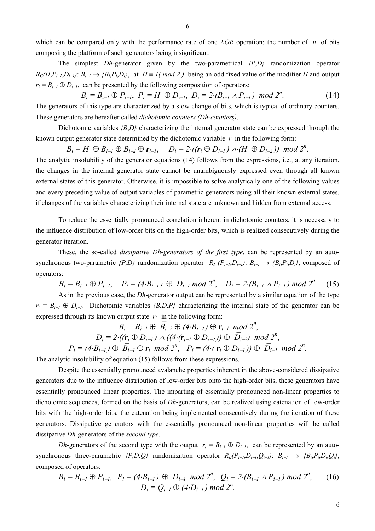which can be compared only with the performance rate of one *XOR* operation; the number of *n* of bits composing the platform of such generators being insignificant.

The simplest *Dh*-generator given by the two-parametrical *{P*,*D}* randomization operator  $R_c(H, P_{i-1}, D_{i-1})$ :  $B_{i-1} \to {B_i, P_i, D_i}$ , at  $H \equiv 1 \pmod{2}$  being an odd fixed value of the modifier *H* and output  $r_i = B_{i-1} \oplus D_{i-1}$ , can be presented by the following composition of operators:

$$
B_i = B_{i-1} \oplus P_{i-1}, \ P_i = H \oplus D_{i-1}, \ D_i = 2 \cdot (B_{i-1} \wedge P_{i-1}) \mod 2^n. \tag{14}
$$

The generators of this type are characterized by a slow change of bits, which is typical of ordinary counters. These generators are hereafter called *dichotomic counters (Dh*-*counters)*.

Dichotomic variables *{B,D}* characterizing the internal generator state can be expressed through the known output generator state determined by the dichotomic variable *r* in the following form:

 $B_i = H \oplus B_{i-1} \oplus B_{i-2} \oplus r_{i-1}$ ,  $D_i = 2 \cdot ((r_i \oplus D_{i-1}) \wedge (H \oplus D_{i-2})) \mod 2^n$ .

The analytic insolubility of the generator equations (14) follows from the expressions, i.e., at any iteration, the changes in the internal generator state cannot be unambiguously expressed even through all known external states of this generator. Otherwise, it is impossible to solve analytically one of the following values and every preceding value of output variables of parametric generators using all their known external states, if changes of the variables characterizing their internal state are unknown and hidden from external access.

To reduce the essentially pronounced correlation inherent in dichotomic counters, it is necessary to the influence distribution of low-order bits on the high-order bits, which is realized consecutively during the generator iteration.

These, the so-called *dissipative Dh-generators of the first type*, can be represented by an autosynchronous two-parametric  $\{P,D\}$  randomization operator  $R_I$  ( $P_{i-1}, D_{i-1}$ ):  $B_{i-1} \rightarrow \{B_i, P_i, D_i\}$ , composed of operators:

 $B_i = B_{i-1} \oplus P_{i-1}$ ,  $P_i = (4 \cdot B_{i-1}) \oplus \overline{D}_{i-1} \mod 2^n$ ,  $D_i = 2 \cdot (B_{i-1} \wedge P_{i-1}) \mod 2^n$  $(15)$ 

As in the previous case, the *Dh*-generator output can be represented by a similar equation of the type  $r_i = B_{i-1} \oplus D_{i-1}$ . Dichotomic variables *{B,D,P}* characterizing the internal state of the generator can be expressed through its known output state  $r_i$  in the following form:

> $B_i = B_{i-1} \oplus \overline{B}_{i-2} \oplus (4 \cdot B_{i-2}) \oplus r_{i-1} \mod 2^n$  $D_i = 2 \cdot ((r_i \oplus D_{i-1}) \wedge ((4 \cdot (r_{i-1} \oplus D_{i-2})) \oplus \overline{D}_{i-2}) \mod 2^n$  $P_i = (4 \cdot B_{i-1}) \oplus \overline{B}_{i-1} \oplus r_i \mod 2^n$ ,  $P_i = (4 \cdot (r_i \oplus D_{i-1})) \oplus \overline{D}_{i-1} \mod 2^n$ .

The analytic insolubility of equation (15) follows from these expressions.

Despite the essentially pronounced avalanche properties inherent in the above-considered dissipative generators due to the influence distribution of low-order bits onto the high-order bits, these generators have essentially pronounced linear properties. The imparting of essentially pronounced non-linear properties to dichotomic sequences, formed on the basis of *Dh*-generators, can be realized using catenation of low-order bits with the high-order bits; the catenation being implemented consecutively during the iteration of these generators. Dissipative generators with the essentially pronounced non-linear properties will be called dissipative *Dh-*generators of the *second type*.

*Dh*-generators of the second type with the output  $r_i = B_{i-1} \oplus D_{i-1}$ , can be represented by an autosynchronous three-parametric *{P,D,Q}* randomization operator  $R_{II}(P_{i-1},D_{i-1},Q_{i-1})$ :  $B_{i-1} \rightarrow \{B_i,P_i,D_i,Q_i\}$ , composed of operators:

$$
B_i = B_{i-1} \oplus P_{i-1}, \quad P_i = (4 \cdot B_{i-1}) \oplus \overline{D}_{i-1} \mod 2^n, \quad Q_i = 2 \cdot (B_{i-1} \wedge P_{i-1}) \mod 2^n, \quad (16)
$$

$$
D_i = Q_{i-1} \oplus (4 \cdot D_{i-1}) \mod 2^n.
$$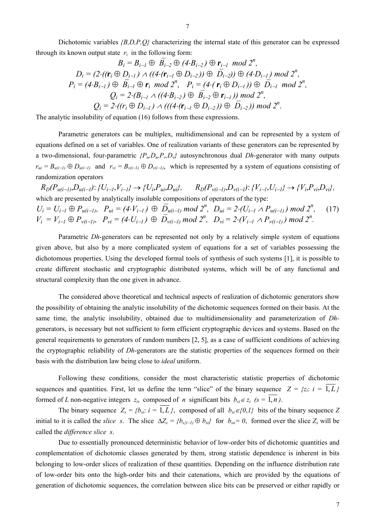Dichotomic variables *{B,D,P,Q}* characterizing the internal state of this generator can be expressed through its known output state  $r_i$  in the following form:

$$
B_{i} = B_{i-1} \oplus \overline{B}_{i-2} \oplus (4 \cdot B_{i-2}) \oplus r_{i-1} \mod 2^{n},
$$
  
\n
$$
D_{i} = (2 \cdot ((r_{i} \oplus D_{i-1}) \land ((4 \cdot (r_{i-1} \oplus D_{i-2})) \oplus \overline{D}_{i-2})) \oplus (4 \cdot D_{i-1}) \mod 2^{n},
$$
  
\n
$$
P_{i} = (4 \cdot B_{i-1}) \oplus \overline{B}_{i-1} \oplus r_{i} \mod 2^{n}, \quad P_{i} = (4 \cdot (r_{i} \oplus D_{i-1})) \oplus \overline{D}_{i-1} \mod 2^{n},
$$
  
\n
$$
Q_{i} = 2 \cdot (B_{i-1} \land ((4 \cdot B_{i-2}) \oplus \overline{B}_{i-2} \oplus r_{i-1})) \mod 2^{n},
$$
  
\n
$$
Q_{i} = 2 \cdot ((r_{i} \oplus D_{i-1}) \land (((4 \cdot (r_{i-1} \oplus D_{i-2})) \oplus \overline{D}_{i-2})) \mod 2^{n}.
$$

The analytic insolubility of equation (16) follows from these expressions.

Parametric generators can be multiplex, multidimensional and can be represented by a system of equations defined on a set of variables. One of realization variants of these generators can be represented by a two-dimensional, four-parametric *{Pu,Du,Pv,Dv}* autosynchronous dual *Dh*-generator with many outputs  $r_{ui} = B_{u(i-1)} \oplus D_{u(i-1)}$  and  $r_{vi} = B_{v(i-1)} \oplus D_{v(i-1)}$ , which is represented by a system of equations consisting of randomization operators

 $R_D(P_{u(i-1)}, D_{u(i-1)}: \{U_{i-1}, V_{i-1}\} \rightarrow \{U_i, P_{ui}, D_{ui}\}, \qquad R_D(P_{v(i-1)}, D_{v(i-1)}: \{V_{i-1}, U_{i-1}\} \rightarrow \{V_i, P_{vi}, D_{vi}\},$ which are presented by analytically insoluble compositions of operators of the type:  $U_i = U_{i-1} \oplus P_{u(i-l)}$ ,  $P_{ui} = (4 \cdot V_{i-l}) \oplus \overline{D}_{u(i-l)} \mod 2^n$ ,  $D_{ui} = 2 \cdot (U_{i-l} \wedge P_{u(i-l)}) \mod 2^n$  $(17)$  $V_i = V_{i-1} \oplus P_{\nu(i-1)}$ ,  $P_{\nu i} = (4 \cdot U_{i-1}) \oplus \overline{D}_{\nu(i-1)} \mod 2^n$ ,  $D_{\nu i} = 2 \cdot (V_{i-1} \wedge P_{\nu(i-1)}) \mod 2^n$ .

Parametric *Dh*-generators can be represented not only by a relatively simple system of equations given above, but also by a more complicated system of equations for a set of variables possessing the dichotomous properties. Using the developed formal tools of synthesis of such systems [1], it is possible to create different stochastic and cryptographic distributed systems, which will be of any functional and structural complexity than the one given in advance.

The considered above theoretical and technical aspects of realization of dichotomic generators show the possibility of obtaining the analytic insolubility of the dichotomic sequences formed on their basis. At the same time, the analytic insolubility, obtained due to multidimensionality and parameterization of *Dh*generators, is necessary but not sufficient to form efficient cryptographic devices and systems. Based on the general requirements to generators of random numbers [2, 5], as a case of sufficient conditions of achieving the cryptographic reliability of *Dh*-generators are the statistic properties of the sequences formed on their basis with the distribution law being close to *ideal* uniform.

Following these conditions, consider the most characteristic statistic properties of dichotomic sequences and quantities. First, let us define the term "slice" of the binary sequence  $Z = \{z_i: i = \overline{1, L}\}\$ formed of *L* non-negative integers  $z_i$ , composed of *n* significant bits  $b_{si} \in z_i$  ( $s = 1, n$ ).

The binary sequence  $Z_s = \{b_{si}: i = 1, L\}$ , composed of all  $b_{si} \in \{0, 1\}$  bits of the binary sequence *Z* initial to it is called the *slice s*. The slice  $\Delta Z_s = \{b_{s(i-1)} \oplus b_{si}\}\$  for  $b_{so} = 0$ , formed over the slice  $Z_s$  will be called the *difference slice s*.

Due to essentially pronounced deterministic behavior of low-order bits of dichotomic quantities and complementation of dichotomic classes generated by them, strong statistic dependence is inherent in bits belonging to low-order slices of realization of these quantities. Depending on the influence distribution rate of low-order bits onto the high-order bits and their catenations, which are provided by the equations of generation of dichotomic sequences, the correlation between slice bits can be preserved or either rapidly or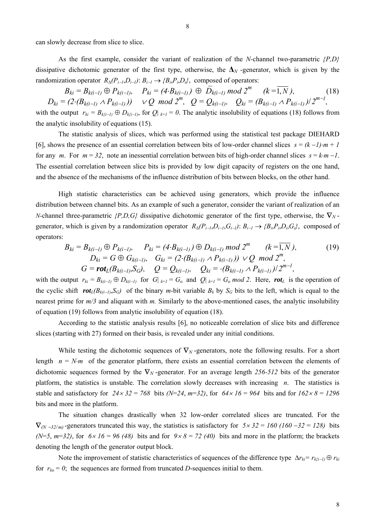can slowly decrease from slice to slice.

As the first example, consider the variant of realization of the *N-*channel two-parametric *{P,D}* dissipative dichotomic generator of the first type, otherwise, the  $\Delta$ <sup>*N*</sup> -generator, which is given by the

randomization operator  $R_{\Delta}(P_{i-1}, D_{i-1})$ :  $B_{i-1} \rightarrow \{B_i, P_i, D_i\}$ , composed of operators:<br>  $B_{ki} = B_{k(i-1)} \oplus P_{k(i-1)}, \quad P_{ki} = (4 \cdot B_{k(i-1)}) \oplus \overline{D}_{k(i-1)} \text{ mod } 2^m \quad (k = \overline{1, N}),$  $B_{ki} = B_{k(i-1)} \oplus P_{k(i-1)}$ ,  $P_{ki} = (4 \cdot B_{k(i-1)}) \oplus \overline{D}_{k(i-1)} \text{ mod } 2^m \quad (k = \overline{1, N})$ , (18)  $D_{ki} = (2 \cdot (B_{k(i-1)} \wedge P_{k(i-1)}))$   $\vee Q \mod 2^m$ ,  $Q = Q_{k(i-1)}$ ,  $Q_{ki} = (B_{k(i-1)} \wedge P_{k(i-1)})/2^{m-1}$ , with the output  $r_{ki} = B_{k(i-1)} \oplus D_{k(i-1)}$ , for  $Q|_{k=1} = 0$ . The analytic insolubility of equations (18) follows from the analytic insolubility of equations (15).

The statistic analysis of slices, which was performed using the statistical test package DIEHARD [6], shows the presence of an essential correlation between bits of low-order channel slices  $s = (k - 1) \cdot m + 1$ for any *m*. For  $m = 32$ , note an inessential correlation between bits of high-order channel slices  $s = k \cdot m - 1$ . The essential correlation between slice bits is provided by low digit capacity of registers on the one hand, and the absence of the mechanisms of the influence distribution of bits between blocks, on the other hand.

High statistic characteristics can be achieved using generators, which provide the influence distribution between channel bits. As an example of such a generator, consider the variant of realization of an *N*-channel three-parametric *{P,D,G}* dissipative dichotomic generator of the first type, otherwise, the  $\nabla$ <sup>*N*</sup> generator, which is given by a randomization operator  $R_{\Delta}(P_{i-1}, D_{i-1}, G_{i-1})$ :  $B_{i-1} \to \{B_i, P_i, D_i, G_i\}$ , composed of operators:

$$
B_{ki} = B_{k(i-l)} \oplus P_{k(i-l)}, \quad P_{ki} = (4 \cdot B_{k(i-l)}) \oplus D_{k(i-l)} \mod 2^m \quad (k = \overline{1, N}),
$$
  
\n
$$
D_{ki} = G \oplus G_{k(i-l)}, \quad G_{ki} = (2 \cdot (B_{k(i-l)} \land P_{k(i-l)})) \lor Q \mod 2^m,
$$
  
\n
$$
G = \text{rot}_L(B_{k(i-l)}, S_G), \quad Q = Q_{k(i-l)}, \quad Q_{ki} = \cdot (B_{k(i-l)} \land P_{k(i-l)})/2^{m-l},
$$
  
\n(19)

with the output  $r_{ki} = B_{ki(i-1)} \oplus D_{ki(i-1)}$  for  $G|_{k=1} = G_0$  and  $Q|_{k=1} = G_0 \mod 2$ . Here, **rot**<sub>L</sub> is the operation of the cyclic shift  $rot_L(B_{k(i-1)}, S_G)$  of the binary *m*-bit variable  $B_k$  by  $S_G$  bits to the left, which is equal to the nearest prime for  $m/3$  and aliquant with *m*. Similarly to the above-mentioned cases, the analytic insolubility of equation (19) follows from analytic insolubility of equation (18).

According to the statistic analysis results [6], no noticeable correlation of slice bits and difference slices (starting with 27) formed on their basis, is revealed under any initial conditions.

While testing the dichotomic sequences of  $\nabla_N$ -generators, note the following results. For a short length  $n = N \cdot m$  of the generator platform, there exists an essential correlation between the elements of dichotomic sequences formed by the ∇*<sup>N</sup>* -generator. For an average length *256-512* bits of the generator platform, the statistics is unstable. The correlation slowly decreases with increasing *n*. The statistics is stable and satisfactory for  $24 \times 32 = 768$  bits  $(N=24, m=32)$ , for  $64 \times 16 = 964$  bits and for  $162 \times 8 = 1296$ bits and more in the platform.

The situation changes drastically when 32 low-order correlated slices are truncated. For the  $\nabla_{(N-32/m)}$ -generators truncated this way, the statistics is satisfactory for  $5 \times 32 = 160 (160 - 32 = 128)$  bits  $(N=5, m=32)$ , for  $6 \times 16 = 96 (48)$  bits and for  $9 \times 8 = 72 (40)$  bits and more in the platform; the brackets denoting the length of the generator output block.

Note the improvement of statistic characteristics of sequences of the difference type ∆*rki= rk{i*−*1)* ⊕ *rki* for  $r_{k0} = 0$ ; the sequences are formed from truncated *D*-sequences initial to them.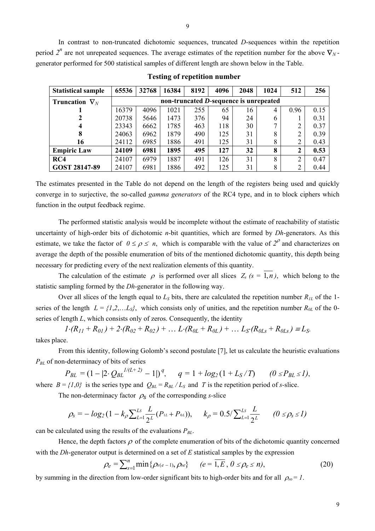In contrast to non-truncated dichotomic sequences, truncated *D*-sequences within the repetition period  $2^n$  are not unrepeated sequences. The average estimates of the repetition number for the above  $\nabla_N$ generator performed for 500 statistical samples of different length are shown below in the Table.

| <b>Statistical sample</b>    | 65536                                  | 32768 | 16384 | 8192 | 4096 | 2048 | 1024 | 512  | 256  |  |  |  |
|------------------------------|----------------------------------------|-------|-------|------|------|------|------|------|------|--|--|--|
| <b>Truncation</b> $\nabla_N$ | non-truncated D-sequence is unrepeated |       |       |      |      |      |      |      |      |  |  |  |
|                              | 16379                                  | 4096  | 1021  | 255  | 65   | 16   | 4    | 0.96 | 0.15 |  |  |  |
|                              | 20738                                  | 5646  | 1473  | 376  | 94   | 24   | 6    |      | 0.31 |  |  |  |
| 4                            | 23343                                  | 6662  | 1785  | 463  | 118  | 30   |      | 2    | 0.37 |  |  |  |
| 8                            | 24063                                  | 6962  | 1879  | 490  | 125  | 31   | 8    | 2    | 0.39 |  |  |  |
| 16                           | 24112                                  | 6985  | 1886  | 491  | 125  | 31   | 8    | 2    | 0.43 |  |  |  |
| <b>Empiric Law</b>           | 24109                                  | 6981  | 1895  | 495  | 127  | 32   | 8    | 2    | 0.53 |  |  |  |
| RC4                          | 24107                                  | 6979  | 1887  | 491  | 126  | 31   | 8    | C    | 0.47 |  |  |  |
| GOST 28147-89                | 24107                                  | 6981  | 1886  | 492  | 125  | 31   | 8    |      | 0.44 |  |  |  |

**Testing of repetition number** 

The estimates presented in the Table do not depend on the length of the registers being used and quickly converge in to surjective, the so-called *gamma generators* of the RC4 type, and in to block ciphers which function in the output feedback regime.

The performed statistic analysis would be incomplete without the estimate of reachability of statistic uncertainty of high-order bits of dichotomic *n-*bit quantities, which are formed by *Dh*-generators. As this estimate, we take the factor of  $0 \le \rho \le n$ , which is comparable with the value of  $2^{\rho}$  and characterizes on average the depth of the possible enumeration of bits of the mentioned dichotomic quantity, this depth being necessary for predicting every of the next realization elements of this quantity.

The calculation of the estimate  $\rho$  is performed over all slices  $Z_s$   $(s = \overline{1,n})$ , which belong to the statistic sampling formed by the *Dh*-generator in the following way.

Over all slices of the length equal to  $L<sub>S</sub>$  bits, there are calculated the repetition number  $R<sub>IL</sub>$  of the 1series of the length  $L = \{1, 2, \ldots L_s\}$ , which consists only of unities, and the repetition number  $R_{0L}$  of the 0series of length *L*, which consists only of zeros. Consequently, the identity

 $1 \cdot (R_{11} + R_{01}) + 2 \cdot (R_{02} + R_{02}) + \dots$   $L \cdot (R_{0L} + R_{0L}) + \dots$   $L_S \cdot (R_{0Ls} + R_{0Ls}) = L_S$ . takes place.

From this identity, following Golomb's second postulate [7], let us calculate the heuristic evaluations *PBL* of non-determinacy of bits of series

$$
P_{BL} = (1 - |2 \cdot Q_{BL}^{1/(L+2)} - 1|)^q, \qquad q = 1 + log_2(1 + L_S/T) \qquad (0 \le P_{BL} \le I),
$$

where  $B = \{1,0\}$  is the series type and  $Q_{BL} = R_{BL}/L_s$  and *T* is the repetition period of *s*-slice.

The non-determinacy factor  $\rho_s$  of the corresponding *s*-slice

$$
\rho_s = -\log_2(1 - k_\rho \sum_{L=1}^{L_s} \frac{L}{2^L} (P_{1L} + P_{0L})), \quad k_\rho = 0.5/\sum_{L=1}^{L_s} \frac{L}{2^L} \qquad (0 \le \rho_s \le 1)
$$

can be calculated using the results of the evaluations  $P_{BL}$ .

Hence, the depth factors  $\rho$  of the complete enumeration of bits of the dichotomic quantity concerned with the *Dh*-generator output is determined on a set of *E* statistical samples by the expression

$$
\rho_e = \sum_{s=1}^n \min\{\rho_{s(e-1)}, \rho_{se}\} \qquad (e = \overline{1, E}, 0 \le \rho_e \le n), \tag{20}
$$

by summing in the direction from low-order significant bits to high-order bits and for all  $\rho_{so} = 1$ .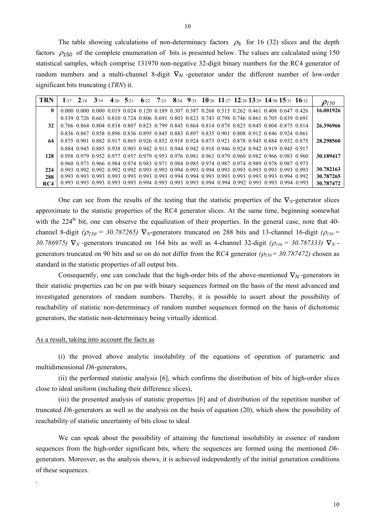The table showing calculations of non-determinacy factors  $\rho_s$  for 16 (32) slices and the depth factors  $\rho_{150}$  of the complete enumeration of bits is presented below. The values are calculated using 150 statistical samples, which comprise 131970 non-negative 32-digit binary numbers for the RC4 generator of random numbers and a multi-channel 8-digit  $\nabla_N$ -generator under the different number of low-order significant bits truncating (*TRN*) it.

| <b>TRN</b> |                                                                                                                  | $1/17$ $2/18$ | 3/19 |  |  |  |                                                                                                 |  |  | 4/20 5/21 6/22 7/23 8/24 9/25 10/26 11/27 12/28 13/29 14/30 15/31 16/32 | $\rho_{150}$ |
|------------|------------------------------------------------------------------------------------------------------------------|---------------|------|--|--|--|-------------------------------------------------------------------------------------------------|--|--|-------------------------------------------------------------------------|--------------|
|            | $0.000\ 0.000\ 0.000\ 0.019\ 0.024\ 0.120\ 0.189\ 0.307\ 0.387\ 0.268\ 0.515\ 0.262\ 0.461\ 0.408\ 0.647\ 0.426$ |               |      |  |  |  |                                                                                                 |  |  |                                                                         | 16.001926    |
|            |                                                                                                                  |               |      |  |  |  | 0.539 0.726 0.663 0.810 0.724 0.806 0.691 0.803 0.823 0.743 0.798 0.746 0.861 0.705 0.839 0.691 |  |  |                                                                         |              |
| 32         | 0.766 0.864 0.804 0.838 0.807 0.823 0.799 0.845 0.864 0.814 0.878 0.825 0.845 0.804 0.875 0.814                  |               |      |  |  |  |                                                                                                 |  |  |                                                                         | 26.396966    |
|            |                                                                                                                  |               |      |  |  |  | 0.836 0.867 0.858 0.896 0.836 0.895 0.845 0.883 0.897 0.835 0.901 0.808 0.912 0.846 0.924 0.861 |  |  |                                                                         |              |
| 64 I       | 0.875 0.901 0.882 0.917 0.865 0.926 0.852 0.918 0.924 0.873 0.921 0.878 0.945 0.884 0.932 0.875                  |               |      |  |  |  |                                                                                                 |  |  |                                                                         | 28.298560    |
|            |                                                                                                                  |               |      |  |  |  | 0.884 0.945 0.885 0.938 0.903 0.942 0.911 0.944 0.942 0.918 0.946 0.924 0.942 0.919 0.945 0.917 |  |  |                                                                         |              |
| 128        | 0.958 0.979 0.952 0.977 0.957 0.979 0.953 0.976 0.981 0.963 0.979 0.960 0.982 0.966 0.983 0.960                  |               |      |  |  |  |                                                                                                 |  |  |                                                                         | 30.189417    |
|            |                                                                                                                  |               |      |  |  |  | 0.960 0.973 0.966 0.984 0.974 0.983 0.971 0.984 0.985 0.974 0.987 0.974 0.989 0.978 0.987 0.973 |  |  |                                                                         |              |
| 224        |                                                                                                                  |               |      |  |  |  | 0.993 0.992 0.992 0.992 0.992 0.993 0.993 0.994 0.993 0.994 0.993 0.993 0.993 0.993 0.993 0.993 |  |  |                                                                         | 30.782163    |
| 288        |                                                                                                                  |               |      |  |  |  | 0.993 0.993 0.993 0.993 0.993 0.993 0.993 0.994 0.994 0.993 0.993 0.993 0.993 0.993 0.994 0.992 |  |  |                                                                         | 30.787265    |
| RC4        |                                                                                                                  |               |      |  |  |  | 0.993 0.993 0.993 0.993 0.993 0.994 0.993 0.993 0.993 0.994 0.994 0.992 0.993 0.993 0.994 0.993 |  |  |                                                                         | 30.787472    |

One can see from the results of the testing that the statistic properties of the  $\nabla_N$ -generator slices approximate to the statistic properties of the RC4 generator slices. At the same time, beginning somewhat with the 224<sup>th</sup> bit, one can observe the equalization of their properties. In the general case, note that 40channel 8-digit  $(\rho_{150} = 30.787265)$   $\nabla_N$ -generators truncated on 288 bits and 13-channel 16-digit  $(\rho_{150} =$ 30.786975)  $\nabla_N$ -generators truncated on 164 bits as well as 4-channel 32-digit  $(\rho_{150} = 30.787333)$   $\nabla_N$ generators truncated on 90 bits and so on do not differ from the RC4 generator  $(\rho_{150} = 30.787472)$  chosen as standard in the statistic properties of all output bits.

Consequently, one can conclude that the high-order bits of the above-mentioned ∇*<sup>N</sup>* -generators in their statistic properties can be on par with binary sequences formed on the basis of the most advanced and investigated generators of random numbers. Thereby, it is possible to assert about the possibility of reachability of statistic non-determinacy of random number sequences formed on the basis of dichotomic generators, the statistic non-determinacy being virtually identical.

### As a result, taking into account the facts as

.

(i) the proved above analytic insolubility of the equations of operation of parametric and multidimensional *Dh*-generators,

(ii) the performed statistic analysis [6], which confirms the distribution of bits of high-order slices close to ideal uniform (including their difference slices),

(iii) the presented analysis of statistic properties [6] and of distribution of the repetition number of truncated *Dh-*generators as well as the analysis on the basis of equation (20), which show the possibility of reachability of statistic uncertainty of bits close to ideal

We can speak about the possibility of attaining the functional insolubility in essence of random sequences from the high-order significant bits, where the sequences are formed using the mentioned *Dh*generators. Moreover, as the analysis shows, it is achieved independently of the initial generation conditions of these sequences.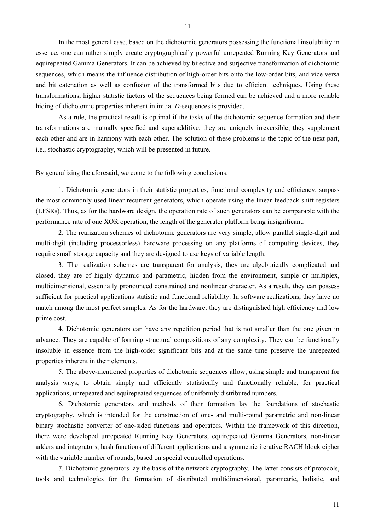In the most general case, based on the dichotomic generators possessing the functional insolubility in essence, one can rather simply create cryptographically powerful unrepeated Running Key Generators and equirepeated Gamma Generators. It can be achieved by bijective and surjective transformation of dichotomic sequences, which means the influence distribution of high-order bits onto the low-order bits, and vice versa and bit catenation as well as confusion of the transformed bits due to efficient techniques. Using these transformations, higher statistic factors of the sequences being formed can be achieved and a more reliable hiding of dichotomic properties inherent in initial *D*-sequences is provided.

As a rule, the practical result is optimal if the tasks of the dichotomic sequence formation and their transformations are mutually specified and superadditive, they are uniquely irreversible, they supplement each other and are in harmony with each other. The solution of these problems is the topic of the next part, i.e., stochastic cryptography, which will be presented in future.

By generalizing the aforesaid, we come to the following conclusions:

1. Dichotomic generators in their statistic properties, functional complexity and efficiency, surpass the most commonly used linear recurrent generators, which operate using the linear feedback shift registers (LFSRs). Thus, as for the hardware design, the operation rate of such generators can be comparable with the performance rate of one XOR operation, the length of the generator platform being insignificant.

2. The realization schemes of dichotomic generators are very simple, allow parallel single-digit and multi-digit (including processorless) hardware processing on any platforms of computing devices, they require small storage capacity and they are designed to use keys of variable length.

3. The realization schemes are transparent for analysis, they are algebraically complicated and closed, they are of highly dynamic and parametric, hidden from the environment, simple or multiplex, multidimensional, essentially pronounced constrained and nonlinear character. As a result, they can possess sufficient for practical applications statistic and functional reliability. In software realizations, they have no match among the most perfect samples. As for the hardware, they are distinguished high efficiency and low prime cost.

4. Dichotomic generators can have any repetition period that is not smaller than the one given in advance. They are capable of forming structural compositions of any complexity. They can be functionally insoluble in essence from the high-order significant bits and at the same time preserve the unrepeated properties inherent in their elements.

5. The above-mentioned properties of dichotomic sequences allow, using simple and transparent for analysis ways, to obtain simply and efficiently statistically and functionally reliable, for practical applications, unrepeated and equirepeated sequences of uniformly distributed numbers.

6. Dichotomic generators and methods of their formation lay the foundations of stochastic cryptography, which is intended for the construction of one- and multi-round parametric and non-linear binary stochastic converter of one-sided functions and operators. Within the framework of this direction, there were developed unrepeated Running Key Generators, equirepeated Gamma Generators, non-linear adders and integrators, hash functions of different applications and a symmetric iterative RACH block cipher with the variable number of rounds, based on special controlled operations.

7. Dichotomic generators lay the basis of the network cryptography. The latter consists of protocols, tools and technologies for the formation of distributed multidimensional, parametric, holistic, and